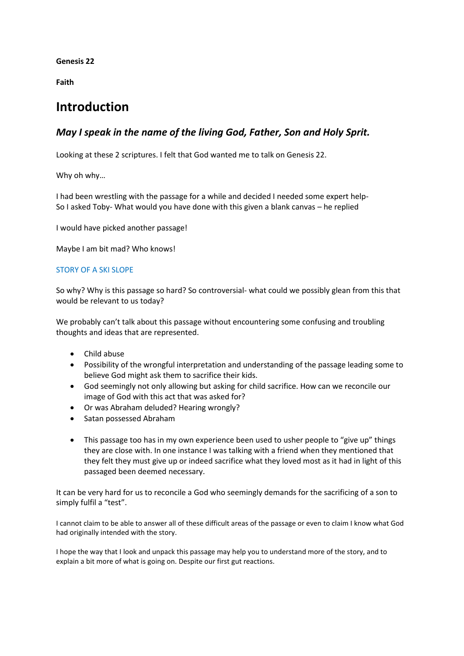**Genesis 22**

**Faith**

# **Introduction**

## *May I speak in the name of the living God, Father, Son and Holy Sprit.*

Looking at these 2 scriptures. I felt that God wanted me to talk on Genesis 22.

Why oh why…

I had been wrestling with the passage for a while and decided I needed some expert help-So I asked Toby- What would you have done with this given a blank canvas – he replied

I would have picked another passage!

Maybe I am bit mad? Who knows!

#### STORY OF A SKI SLOPE

So why? Why is this passage so hard? So controversial- what could we possibly glean from this that would be relevant to us today?

We probably can't talk about this passage without encountering some confusing and troubling thoughts and ideas that are represented.

- Child abuse
- Possibility of the wrongful interpretation and understanding of the passage leading some to believe God might ask them to sacrifice their kids.
- God seemingly not only allowing but asking for child sacrifice. How can we reconcile our image of God with this act that was asked for?
- Or was Abraham deluded? Hearing wrongly?
- Satan possessed Abraham
- This passage too has in my own experience been used to usher people to "give up" things they are close with. In one instance I was talking with a friend when they mentioned that they felt they must give up or indeed sacrifice what they loved most as it had in light of this passaged been deemed necessary.

It can be very hard for us to reconcile a God who seemingly demands for the sacrificing of a son to simply fulfil a "test".

I cannot claim to be able to answer all of these difficult areas of the passage or even to claim I know what God had originally intended with the story.

I hope the way that I look and unpack this passage may help you to understand more of the story, and to explain a bit more of what is going on. Despite our first gut reactions.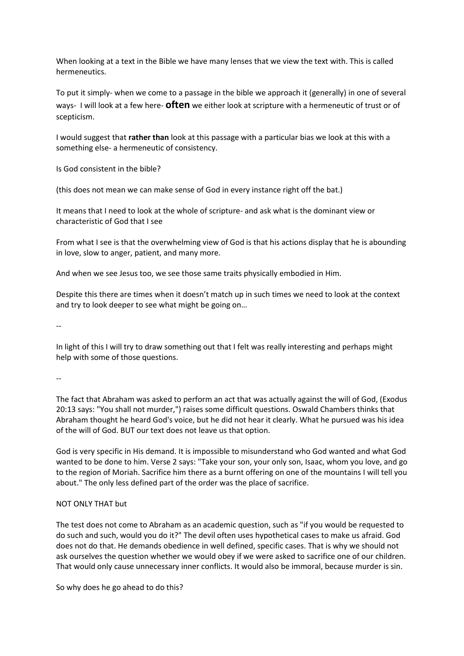When looking at a text in the Bible we have many lenses that we view the text with. This is called hermeneutics.

To put it simply- when we come to a passage in the bible we approach it (generally) in one of several ways- I will look at a few here- **often** we either look at scripture with a hermeneutic of trust or of scepticism.

I would suggest that **rather than** look at this passage with a particular bias we look at this with a something else- a hermeneutic of consistency.

Is God consistent in the bible?

(this does not mean we can make sense of God in every instance right off the bat.)

It means that I need to look at the whole of scripture- and ask what is the dominant view or characteristic of God that I see

From what I see is that the overwhelming view of God is that his actions display that he is abounding in love, slow to anger, patient, and many more.

And when we see Jesus too, we see those same traits physically embodied in Him.

Despite this there are times when it doesn't match up in such times we need to look at the context and try to look deeper to see what might be going on…

--

In light of this I will try to draw something out that I felt was really interesting and perhaps might help with some of those questions.

--

The fact that Abraham was asked to perform an act that was actually against the will of God, (Exodus 20:13 says: "You shall not murder,") raises some difficult questions. Oswald Chambers thinks that Abraham thought he heard God's voice, but he did not hear it clearly. What he pursued was his idea of the will of God. BUT our text does not leave us that option.

God is very specific in His demand. It is impossible to misunderstand who God wanted and what God wanted to be done to him. Verse 2 says: "Take your son, your only son, Isaac, whom you love, and go to the region of Moriah. Sacrifice him there as a burnt offering on one of the mountains I will tell you about." The only less defined part of the order was the place of sacrifice.

#### NOT ONLY THAT but

The test does not come to Abraham as an academic question, such as "if you would be requested to do such and such, would you do it?" The devil often uses hypothetical cases to make us afraid. God does not do that. He demands obedience in well defined, specific cases. That is why we should not ask ourselves the question whether we would obey if we were asked to sacrifice one of our children. That would only cause unnecessary inner conflicts. It would also be immoral, because murder is sin.

So why does he go ahead to do this?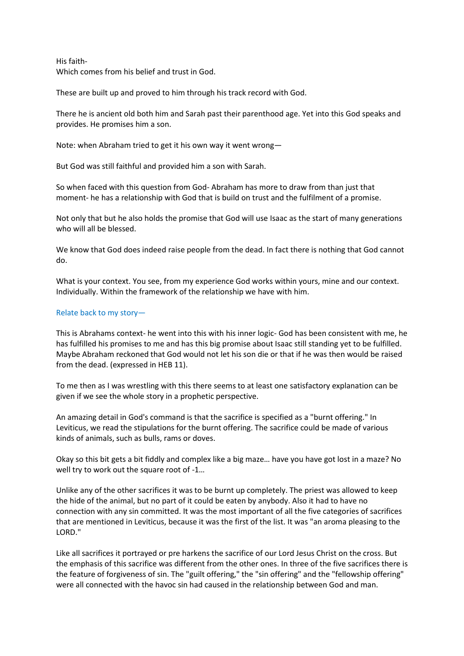His faith-Which comes from his belief and trust in God.

These are built up and proved to him through his track record with God.

There he is ancient old both him and Sarah past their parenthood age. Yet into this God speaks and provides. He promises him a son.

Note: when Abraham tried to get it his own way it went wrong—

But God was still faithful and provided him a son with Sarah.

So when faced with this question from God- Abraham has more to draw from than just that moment- he has a relationship with God that is build on trust and the fulfilment of a promise.

Not only that but he also holds the promise that God will use Isaac as the start of many generations who will all be blessed.

We know that God does indeed raise people from the dead. In fact there is nothing that God cannot do.

What is your context. You see, from my experience God works within yours, mine and our context. Individually. Within the framework of the relationship we have with him.

### Relate back to my story—

This is Abrahams context- he went into this with his inner logic- God has been consistent with me, he has fulfilled his promises to me and has this big promise about Isaac still standing yet to be fulfilled. Maybe Abraham reckoned that God would not let his son die or that if he was then would be raised from the dead. (expressed in HEB 11).

To me then as I was wrestling with this there seems to at least one satisfactory explanation can be given if we see the whole story in a prophetic perspective.

An amazing detail in God's command is that the sacrifice is specified as a "burnt offering." In Leviticus, we read the stipulations for the burnt offering. The sacrifice could be made of various kinds of animals, such as bulls, rams or doves.

Okay so this bit gets a bit fiddly and complex like a big maze… have you have got lost in a maze? No well try to work out the square root of -1...

Unlike any of the other sacrifices it was to be burnt up completely. The priest was allowed to keep the hide of the animal, but no part of it could be eaten by anybody. Also it had to have no connection with any sin committed. It was the most important of all the five categories of sacrifices that are mentioned in Leviticus, because it was the first of the list. It was "an aroma pleasing to the LORD."

Like all sacrifices it portrayed or pre harkens the sacrifice of our Lord Jesus Christ on the cross. But the emphasis of this sacrifice was different from the other ones. In three of the five sacrifices there is the feature of forgiveness of sin. The "guilt offering," the "sin offering" and the "fellowship offering" were all connected with the havoc sin had caused in the relationship between God and man.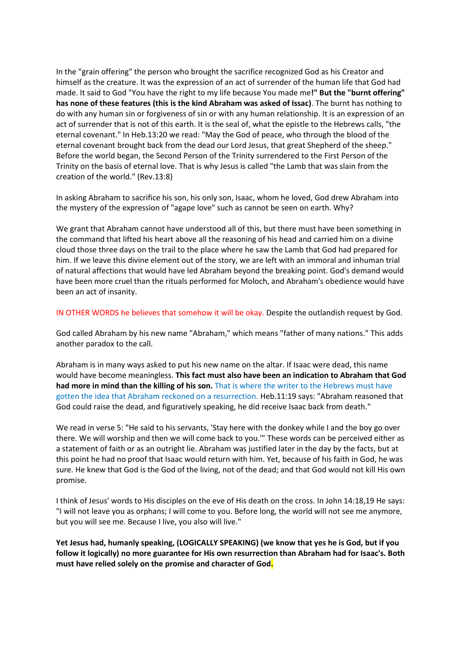In the "grain offering" the person who brought the sacrifice recognized God as his Creator and himself as the creature. It was the expression of an act of surrender of the human life that God had made. It said to God "You have the right to my life because You made me**!" But the "burnt offering" has none of these features (this is the kind Abraham was asked of Issac)**. The burnt has nothing to do with any human sin or forgiveness of sin or with any human relationship. It is an expression of an act of surrender that is not of this earth. It is the seal of, what the epistle to the Hebrews calls, "the eternal covenant." In Heb.13:20 we read: "May the God of peace, who through the blood of the eternal covenant brought back from the dead our Lord Jesus, that great Shepherd of the sheep." Before the world began, the Second Person of the Trinity surrendered to the First Person of the Trinity on the basis of eternal love. That is why Jesus is called "the Lamb that was slain from the creation of the world." (Rev.13:8)

In asking Abraham to sacrifice his son, his only son, Isaac, whom he loved, God drew Abraham into the mystery of the expression of "agape love" such as cannot be seen on earth. Why?

We grant that Abraham cannot have understood all of this, but there must have been something in the command that lifted his heart above all the reasoning of his head and carried him on a divine cloud those three days on the trail to the place where he saw the Lamb that God had prepared for him. If we leave this divine element out of the story, we are left with an immoral and inhuman trial of natural affections that would have led Abraham beyond the breaking point. God's demand would have been more cruel than the rituals performed for Moloch, and Abraham's obedience would have been an act of insanity.

IN OTHER WORDS he believes that somehow it will be okay. Despite the outlandish request by God.

God called Abraham by his new name "Abraham," which means "father of many nations." This adds another paradox to the call.

Abraham is in many ways asked to put his new name on the altar. If Isaac were dead, this name would have become meaningless. **This fact must also have been an indication to Abraham that God had more in mind than the killing of his son.** That is where the writer to the Hebrews must have gotten the idea that Abraham reckoned on a resurrection. Heb.11:19 says: "Abraham reasoned that God could raise the dead, and figuratively speaking, he did receive Isaac back from death."

We read in verse 5: "He said to his servants, 'Stay here with the donkey while I and the boy go over there. We will worship and then we will come back to you.'" These words can be perceived either as a statement of faith or as an outright lie. Abraham was justified later in the day by the facts, but at this point he had no proof that Isaac would return with him. Yet, because of his faith in God, he was sure. He knew that God is the God of the living, not of the dead; and that God would not kill His own promise.

I think of Jesus' words to His disciples on the eve of His death on the cross. In John 14:18,19 He says: "I will not leave you as orphans; I will come to you. Before long, the world will not see me anymore, but you will see me. Because I live, you also will live."

**Yet Jesus had, humanly speaking, (LOGICALLY SPEAKING) (we know that yes he is God, but if you follow it logically) no more guarantee for His own resurrection than Abraham had for Isaac's. Both must have relied solely on the promise and character of God.**